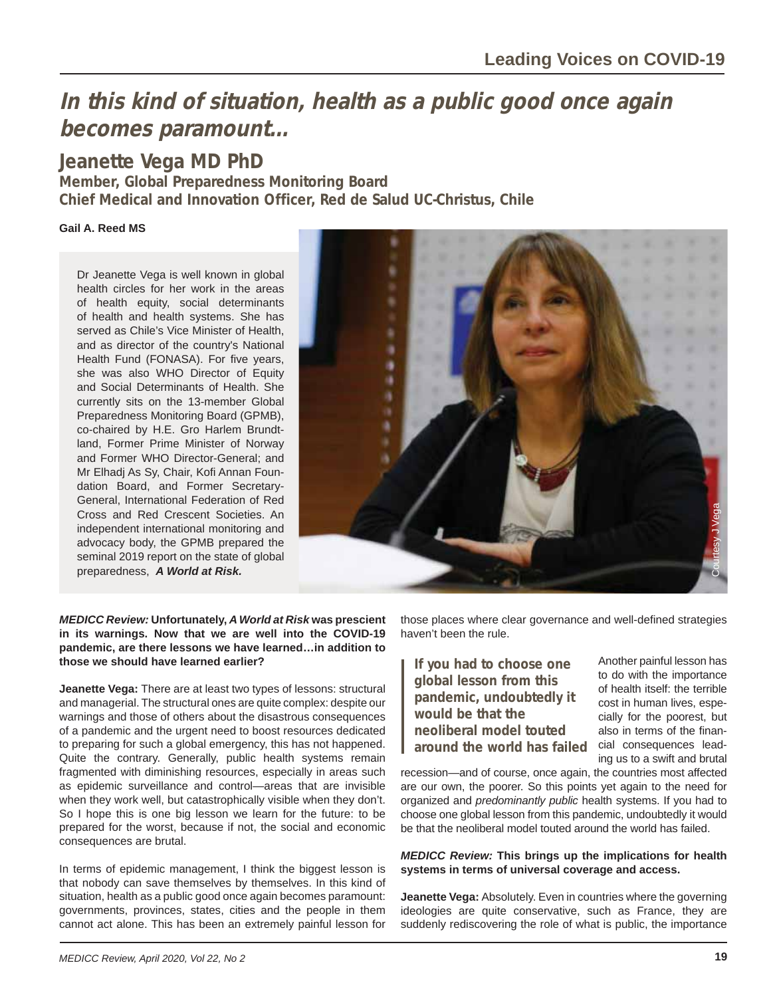# **In this kind of situation, health as a public good once again becomes paramount…**

**Jeanette Vega MD PhD**

**Member, Global Preparedness Monitoring Board Chief Medical and Innovation Officer, Red de Salud UC-Christus, Chile**

### **Gail A. Reed MS**

Dr Jeanette Vega is well known in global health circles for her work in the areas of health equity, social determinants of health and health systems. She has served as Chile's Vice Minister of Health, and as director of the country's National Health Fund (FONASA). For five years, she was also WHO Director of Equity and Social Determinants of Health. She currently sits on the 13-member Global Preparedness Monitoring Board (GPMB), co-chaired by H.E. Gro Harlem Brundtland, Former Prime Minister of Norway and Former WHO Director-General; and Mr Elhadj As Sy, Chair, Kofi Annan Foundation Board, and Former Secretary-General, International Federation of Red Cross and Red Crescent Societies. An independent international monitoring and advocacy body, the GPMB prepared the seminal 2019 report on the state of global preparedness, *A World at Risk.*



*MEDICC Review:* **Unfortunately,** *A World at Risk* **was prescient in its warnings. Now that we are well into the COVID-19 pandemic, are there lessons we have learned…in addition to those we should have learned earlier?**

**Jeanette Vega:** There are at least two types of lessons: structural and managerial. The structural ones are quite complex: despite our warnings and those of others about the disastrous consequences of a pandemic and the urgent need to boost resources dedicated to preparing for such a global emergency, this has not happened. Quite the contrary. Generally, public health systems remain fragmented with diminishing resources, especially in areas such as epidemic surveillance and control—areas that are invisible when they work well, but catastrophically visible when they don't. So I hope this is one big lesson we learn for the future: to be prepared for the worst, because if not, the social and economic consequences are brutal.

In terms of epidemic management, I think the biggest lesson is that nobody can save themselves by themselves. In this kind of situation, health as a public good once again becomes paramount: governments, provinces, states, cities and the people in them cannot act alone. This has been an extremely painful lesson for

those places where clear governance and well-defined strategies haven't been the rule.

**If you had to choose one global lesson from this pandemic, undoubtedly it would be that the neoliberal model touted around the world has failed**

Another painful lesson has to do with the importance of health itself: the terrible cost in human lives, especially for the poorest, but also in terms of the financial consequences leading us to a swift and brutal

recession—and of course, once again, the countries most affected are our own, the poorer. So this points yet again to the need for organized and *predominantly public* health systems. If you had to choose one global lesson from this pandemic, undoubtedly it would be that the neoliberal model touted around the world has failed.

#### *MEDICC Review:* **This brings up the implications for health systems in terms of universal coverage and access.**

**Jeanette Vega:** Absolutely. Even in countries where the governing ideologies are quite conservative, such as France, they are